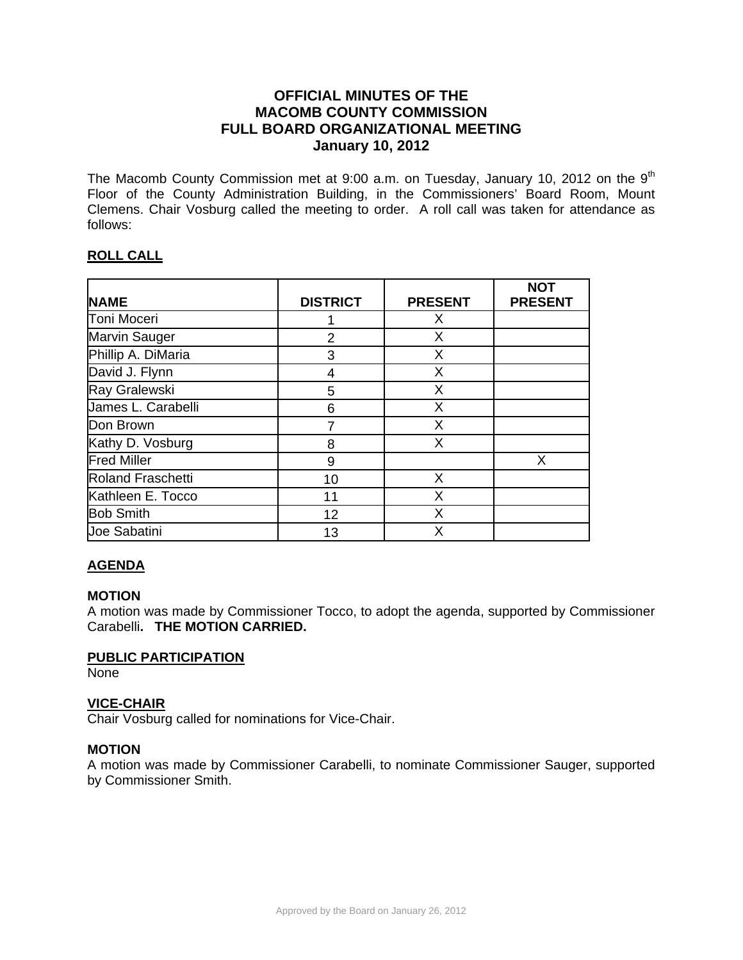# **OFFICIAL MINUTES OF THE MACOMB COUNTY COMMISSION FULL BOARD ORGANIZATIONAL MEETING January 10, 2012**

The Macomb County Commission met at 9:00 a.m. on Tuesday, January 10, 2012 on the  $9<sup>th</sup>$ Floor of the County Administration Building, in the Commissioners' Board Room, Mount Clemens. Chair Vosburg called the meeting to order. A roll call was taken for attendance as follows:

# **ROLL CALL**

| <b>NAME</b>              | <b>DISTRICT</b> | <b>PRESENT</b> | <b>NOT</b><br><b>PRESENT</b> |
|--------------------------|-----------------|----------------|------------------------------|
| Toni Moceri              |                 | X              |                              |
| <b>Marvin Sauger</b>     | $\overline{2}$  | X              |                              |
| Phillip A. DiMaria       | 3               | X              |                              |
| David J. Flynn           | 4               | X              |                              |
| Ray Gralewski            | 5               | X              |                              |
| James L. Carabelli       | 6               | X              |                              |
| Don Brown                |                 | X              |                              |
| Kathy D. Vosburg         | 8               | X              |                              |
| <b>Fred Miller</b>       | 9               |                | X                            |
| <b>Roland Fraschetti</b> | 10              | X              |                              |
| Kathleen E. Tocco        | 11              | X              |                              |
| <b>Bob Smith</b>         | 12              | X              |                              |
| Joe Sabatini             | 13              | X              |                              |

# **AGENDA**

#### **MOTION**

A motion was made by Commissioner Tocco, to adopt the agenda, supported by Commissioner Carabelli**. THE MOTION CARRIED.** 

### **PUBLIC PARTICIPATION**

None

### **VICE-CHAIR**

Chair Vosburg called for nominations for Vice-Chair.

#### **MOTION**

A motion was made by Commissioner Carabelli, to nominate Commissioner Sauger, supported by Commissioner Smith.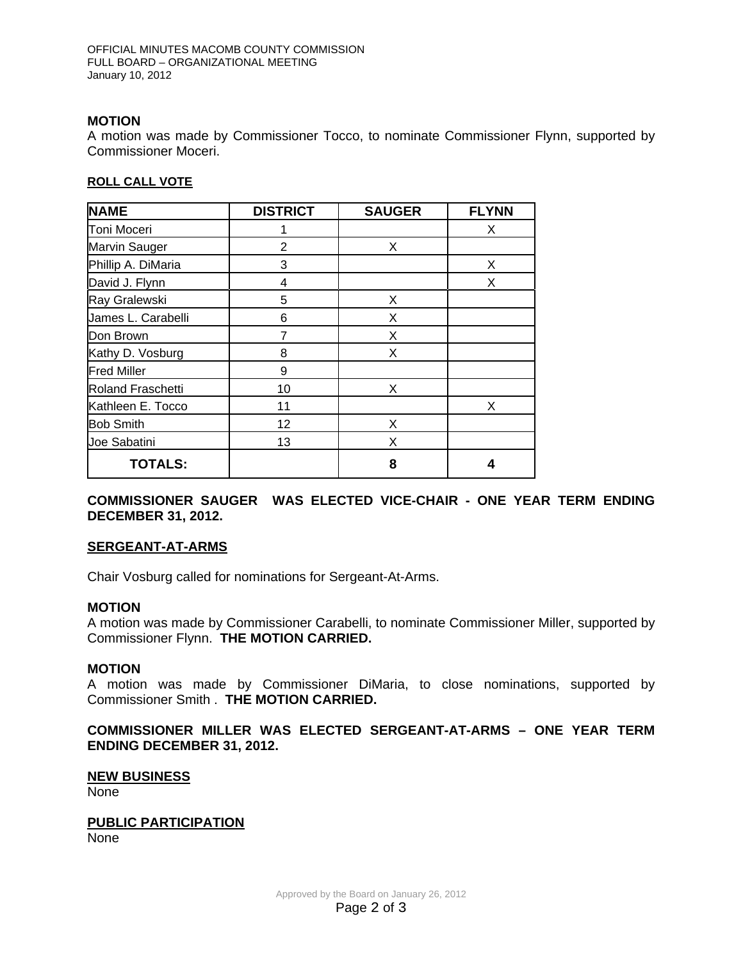### **MOTION**

A motion was made by Commissioner Tocco, to nominate Commissioner Flynn, supported by Commissioner Moceri.

#### **ROLL CALL VOTE**

| <b>NAME</b>              | <b>DISTRICT</b> | <b>SAUGER</b> | <b>FLYNN</b> |
|--------------------------|-----------------|---------------|--------------|
| Toni Moceri              |                 |               | X            |
| Marvin Sauger            | $\overline{2}$  | X             |              |
| Phillip A. DiMaria       | 3               |               | X            |
| David J. Flynn           | 4               |               | X            |
| Ray Gralewski            | 5               | X             |              |
| James L. Carabelli       | 6               | X             |              |
| Don Brown                | $\overline{7}$  | X             |              |
| Kathy D. Vosburg         | 8               | X             |              |
| <b>Fred Miller</b>       | 9               |               |              |
| <b>Roland Fraschetti</b> | 10              | X             |              |
| Kathleen E. Tocco        | 11              |               | X            |
| <b>Bob Smith</b>         | 12              | X             |              |
| Joe Sabatini             | 13              | Χ             |              |
| <b>TOTALS:</b>           |                 | 8             | 4            |

**COMMISSIONER SAUGER WAS ELECTED VICE-CHAIR - ONE YEAR TERM ENDING DECEMBER 31, 2012.** 

#### **SERGEANT-AT-ARMS**

Chair Vosburg called for nominations for Sergeant-At-Arms.

#### **MOTION**

A motion was made by Commissioner Carabelli, to nominate Commissioner Miller, supported by Commissioner Flynn. **THE MOTION CARRIED.** 

#### **MOTION**

A motion was made by Commissioner DiMaria, to close nominations, supported by Commissioner Smith . **THE MOTION CARRIED.**

#### **COMMISSIONER MILLER WAS ELECTED SERGEANT-AT-ARMS – ONE YEAR TERM ENDING DECEMBER 31, 2012.**

#### **NEW BUSINESS**

None

#### **PUBLIC PARTICIPATION** None